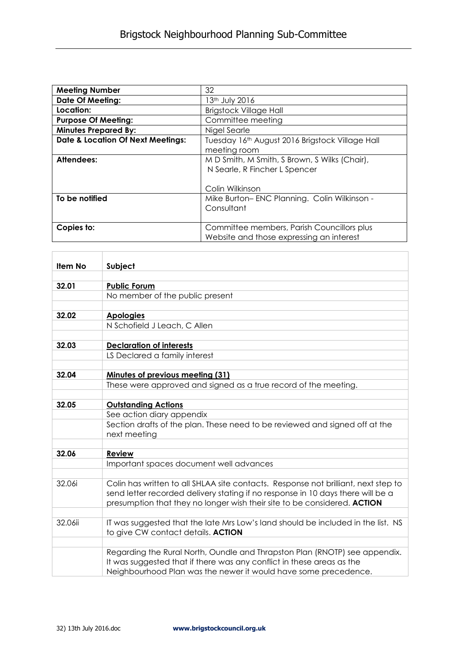| <b>Meeting Number</b>                        | 32                                              |
|----------------------------------------------|-------------------------------------------------|
| <b>Date Of Meeting:</b>                      | 13th July 2016                                  |
| Location:                                    | <b>Brigstock Village Hall</b>                   |
| <b>Purpose Of Meeting:</b>                   | Committee meeting                               |
| <b>Minutes Prepared By:</b>                  | Nigel Searle                                    |
| <b>Date &amp; Location Of Next Meetings:</b> | Tuesday 16th August 2016 Brigstock Village Hall |
|                                              | meeting room                                    |
| <b>Attendees:</b>                            | M D Smith, M Smith, S Brown, S Wilks (Chair),   |
|                                              | N Searle, R Fincher L Spencer                   |
|                                              |                                                 |
|                                              | Colin Wilkinson                                 |
| To be notified                               | Mike Burton-ENC Planning. Colin Wilkinson -     |
|                                              | Consultant                                      |
|                                              |                                                 |
| Copies to:                                   | Committee members, Parish Councillors plus      |
|                                              | Website and those expressing an interest        |

| Item No | Subject                                                                                                                                                                                                                                           |
|---------|---------------------------------------------------------------------------------------------------------------------------------------------------------------------------------------------------------------------------------------------------|
|         |                                                                                                                                                                                                                                                   |
| 32.01   | <b>Public Forum</b>                                                                                                                                                                                                                               |
|         | No member of the public present                                                                                                                                                                                                                   |
|         |                                                                                                                                                                                                                                                   |
| 32.02   | <b>Apologies</b>                                                                                                                                                                                                                                  |
|         | N Schofield J Leach, C Allen                                                                                                                                                                                                                      |
|         |                                                                                                                                                                                                                                                   |
| 32.03   | <b>Declaration of interests</b>                                                                                                                                                                                                                   |
|         | LS Declared a family interest                                                                                                                                                                                                                     |
|         |                                                                                                                                                                                                                                                   |
| 32.04   | Minutes of previous meeting (31)                                                                                                                                                                                                                  |
|         | These were approved and signed as a true record of the meeting.                                                                                                                                                                                   |
| 32.05   | <b>Outstanding Actions</b>                                                                                                                                                                                                                        |
|         | See action diary appendix                                                                                                                                                                                                                         |
|         | Section drafts of the plan. These need to be reviewed and signed off at the<br>next meeting                                                                                                                                                       |
|         |                                                                                                                                                                                                                                                   |
| 32.06   | <b>Review</b>                                                                                                                                                                                                                                     |
|         | Important spaces document well advances                                                                                                                                                                                                           |
|         |                                                                                                                                                                                                                                                   |
| 32.06i  | Colin has written to all SHLAA site contacts. Response not brilliant, next step to<br>send letter recorded delivery stating if no response in 10 days there will be a<br>presumption that they no longer wish their site to be considered. ACTION |
|         |                                                                                                                                                                                                                                                   |
| 32.06ii | IT was suggested that the late Mrs Low's land should be included in the list. NS<br>to give CW contact details. ACTION                                                                                                                            |
|         |                                                                                                                                                                                                                                                   |
|         | Regarding the Rural North, Oundle and Thrapston Plan (RNOTP) see appendix.<br>It was suggested that if there was any conflict in these areas as the<br>Neighbourhood Plan was the newer it would have some precedence.                            |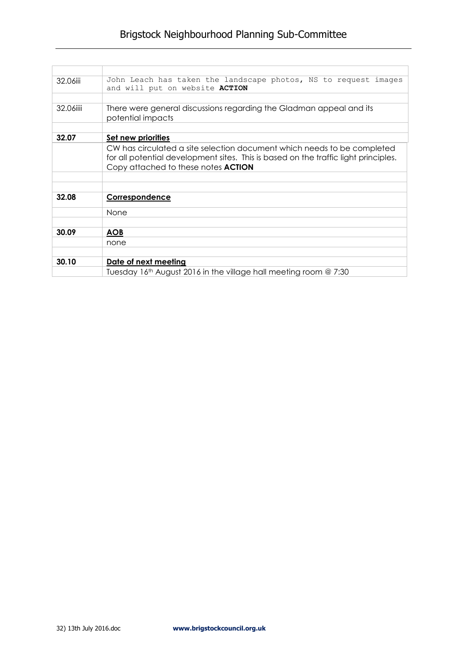| 32.06iii  | John Leach has taken the landscape photos, NS to request images<br>and will put on website ACTION |
|-----------|---------------------------------------------------------------------------------------------------|
|           |                                                                                                   |
| 32.06iiii | There were general discussions regarding the Gladman appeal and its<br>potential impacts          |
|           |                                                                                                   |
| 32.07     | Set new priorities                                                                                |
|           | CW has circulated a site selection document which needs to be completed                           |
|           | for all potential development sites. This is based on the traffic light principles.               |
|           | Copy attached to these notes <b>ACTION</b>                                                        |
|           |                                                                                                   |
|           |                                                                                                   |
| 32.08     | Correspondence                                                                                    |
|           | None                                                                                              |
|           |                                                                                                   |
| 30.09     | <b>AOB</b>                                                                                        |
|           | none                                                                                              |
|           |                                                                                                   |
| 30.10     | Date of next meeting                                                                              |
|           | Tuesday 16 <sup>th</sup> August 2016 in the village hall meeting room @ 7:30                      |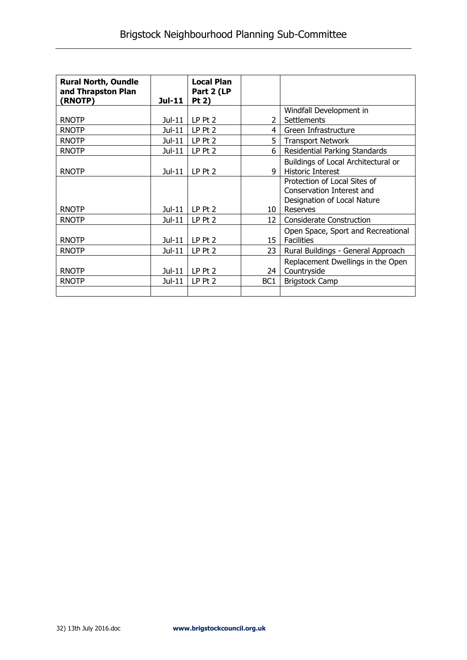| <b>Rural North, Oundle</b><br>and Thrapston Plan<br>(RNOTP) | Jul-11   | <b>Local Plan</b><br>Part 2 (LP<br>Pt 2) |                 |                                     |
|-------------------------------------------------------------|----------|------------------------------------------|-----------------|-------------------------------------|
|                                                             |          |                                          |                 | Windfall Development in             |
| <b>RNOTP</b>                                                | $Jul-11$ | $LP$ Pt $2$                              | $\mathcal{P}$   | Settlements                         |
| <b>RNOTP</b>                                                | Jul-11   | LP Pt 2                                  | 4               | Green Infrastructure                |
| <b>RNOTP</b>                                                | Jul-11   | LP Pt 2                                  | 5               | <b>Transport Network</b>            |
| <b>RNOTP</b>                                                | Jul-11   | LP Pt 2                                  | 6               | Residential Parking Standards       |
|                                                             |          |                                          |                 | Buildings of Local Architectural or |
| <b>RNOTP</b>                                                | $Jul-11$ | $LP$ Pt $2$                              | q               | <b>Historic Interest</b>            |
|                                                             |          |                                          |                 | Protection of Local Sites of        |
|                                                             |          |                                          |                 | Conservation Interest and           |
|                                                             |          |                                          |                 | Designation of Local Nature         |
| <b>RNOTP</b>                                                | Jul-11   | $LP$ Pt 2                                | 10              | Reserves                            |
| <b>RNOTP</b>                                                | $Jul-11$ | $LP$ Pt $2$                              | 12              | <b>Considerate Construction</b>     |
|                                                             |          |                                          |                 | Open Space, Sport and Recreational  |
| <b>RNOTP</b>                                                | Jul-11   | $LP$ Pt $2$                              | 15              | <b>Facilities</b>                   |
| <b>RNOTP</b>                                                | $Jul-11$ | LP Pt 2                                  | 23              | Rural Buildings - General Approach  |
|                                                             |          |                                          |                 | Replacement Dwellings in the Open   |
| <b>RNOTP</b>                                                | Jul-11   | LP Pt 2                                  | 24              | Countryside                         |
| <b>RNOTP</b>                                                | Jul-11   | $LP$ Pt $2$                              | BC <sub>1</sub> | <b>Brigstock Camp</b>               |
|                                                             |          |                                          |                 |                                     |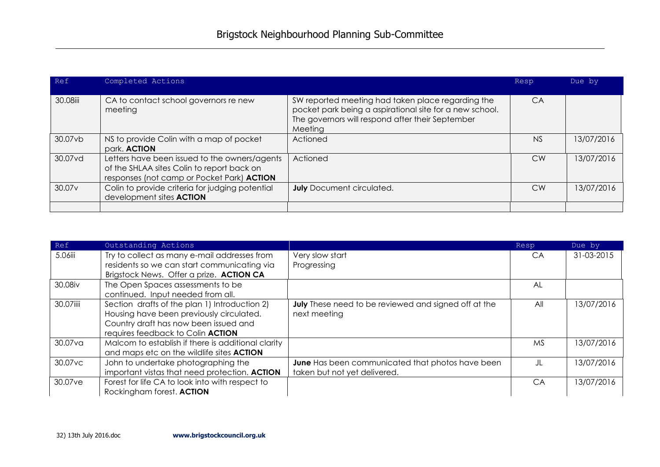| Ref                | Completed Actions                                                                                                                         |                                                                                                                                                                             | Resp      | Due by     |
|--------------------|-------------------------------------------------------------------------------------------------------------------------------------------|-----------------------------------------------------------------------------------------------------------------------------------------------------------------------------|-----------|------------|
| 30.08iii           | CA to contact school governors re new<br>meeting                                                                                          | SW reported meeting had taken place regarding the<br>pocket park being a aspirational site for a new school.<br>The governors will respond after their September<br>Meeting | CA        |            |
| 30.07vb            | NS to provide Colin with a map of pocket<br>park. <b>ACTION</b>                                                                           | Actioned                                                                                                                                                                    | NS        | 13/07/2016 |
| 30.07vd            | Letters have been issued to the owners/agents<br>of the SHLAA sites Colin to report back on<br>responses (not camp or Pocket Park) ACTION | Actioned                                                                                                                                                                    | <b>CW</b> | 13/07/2016 |
| 30.07 <sub>v</sub> | Colin to provide criteria for judging potential<br>development sites <b>ACTION</b>                                                        | <b>July</b> Document circulated.                                                                                                                                            | <b>CW</b> | 13/07/2016 |
|                    |                                                                                                                                           |                                                                                                                                                                             |           |            |

| Ref       | Outstanding Actions                                |                                                      | Resp      | Due by     |
|-----------|----------------------------------------------------|------------------------------------------------------|-----------|------------|
| 5.06iii   | Try to collect as many e-mail addresses from       | Very slow start                                      | <b>CA</b> | 31-03-2015 |
|           | residents so we can start communicating via        | Progressing                                          |           |            |
|           | Brigstock News. Offer a prize. ACTION CA           |                                                      |           |            |
| 30.08iv   | The Open Spaces assessments to be                  |                                                      | AL        |            |
|           | continued. Input needed from all.                  |                                                      |           |            |
| 30.07iiii | Section drafts of the plan 1) Introduction 2)      | July These need to be reviewed and signed off at the | All       | 13/07/2016 |
|           | Housing have been previously circulated.           | next meeting                                         |           |            |
|           | Country draft has now been issued and              |                                                      |           |            |
|           | requires feedback to Colin ACTION                  |                                                      |           |            |
| 30.07va   | Malcom to establish if there is additional clarity |                                                      | <b>MS</b> | 13/07/2016 |
|           | and maps etc on the wildlife sites <b>ACTION</b>   |                                                      |           |            |
| 30.07vc   | John to undertake photographing the                | June Has been communicated that photos have been     | JL        | 13/07/2016 |
|           | important vistas that need protection. ACTION      | taken but not yet delivered.                         |           |            |
| 30.07ve   | Forest for life CA to look into with respect to    |                                                      | CA        | 13/07/2016 |
|           | Rockingham forest. ACTION                          |                                                      |           |            |